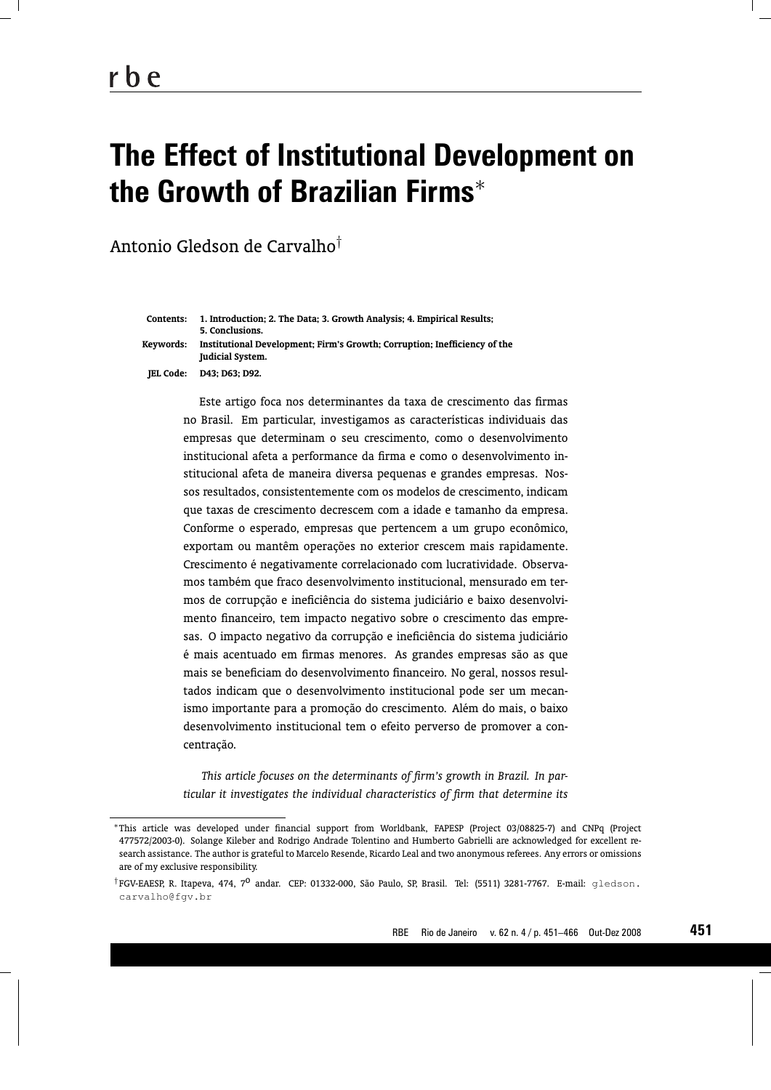# **The Effect of Institutional Development on the Growth of Brazilian Firms**<sup>∗</sup>

Antonio Gledson de Carvalho†

| Contents: | 1. Introduction: 2. The Data: 3. Growth Analysis: 4. Empirical Results:<br>5. Conclusions.           |
|-----------|------------------------------------------------------------------------------------------------------|
| Kevwords: | Institutional Development; Firm's Growth; Corruption; Inefficiency of the<br><b>Iudicial System.</b> |
|           | <b>IEL Code: D43; D63; D92.</b>                                                                      |

Este artigo foca nos determinantes da taxa de crescimento das firmas no Brasil. Em particular, investigamos as características individuais das empresas que determinam o seu crescimento, como o desenvolvimento institucional afeta a performance da firma e como o desenvolvimento institucional afeta de maneira diversa pequenas e grandes empresas. Nossos resultados, consistentemente com os modelos de crescimento, indicam que taxas de crescimento decrescem com a idade e tamanho da empresa. Conforme o esperado, empresas que pertencem a um grupo econômico, exportam ou mantêm operações no exterior crescem mais rapidamente. Crescimento é negativamente correlacionado com lucratividade. Observamos também que fraco desenvolvimento institucional, mensurado em termos de corrupção e ineficiência do sistema judiciário e baixo desenvolvimento financeiro, tem impacto negativo sobre o crescimento das empresas. O impacto negativo da corrupção e ineficiência do sistema judiciário é mais acentuado em firmas menores. As grandes empresas são as que mais se beneficiam do desenvolvimento financeiro. No geral, nossos resultados indicam que o desenvolvimento institucional pode ser um mecanismo importante para a promoção do crescimento. Além do mais, o baixo desenvolvimento institucional tem o efeito perverso de promover a concentração.

*This article focuses on the determinants of firm's growth in Brazil. In particular it investigates the individual characteristics of firm that determine its*

**451**

<sup>∗</sup>This article was developed under financial support from Worldbank, FAPESP (Project 03/08825-7) and CNPq (Project 477572/2003-0). Solange Kileber and Rodrigo Andrade Tolentino and Humberto Gabrielli are acknowledged for excellent research assistance. The author is grateful to Marcelo Resende, Ricardo Leal and two anonymous referees. Any errors or omissions are of my exclusive responsibility.

<sup>†</sup>FGV-EAESP, R. Itapeva, 474, 7<sup>0</sup> andar. CEP: 01332-000, São Paulo, SP, Brasil. Tel: (5511) 3281-7767. E-mail: gledson. carvalho@fgv.br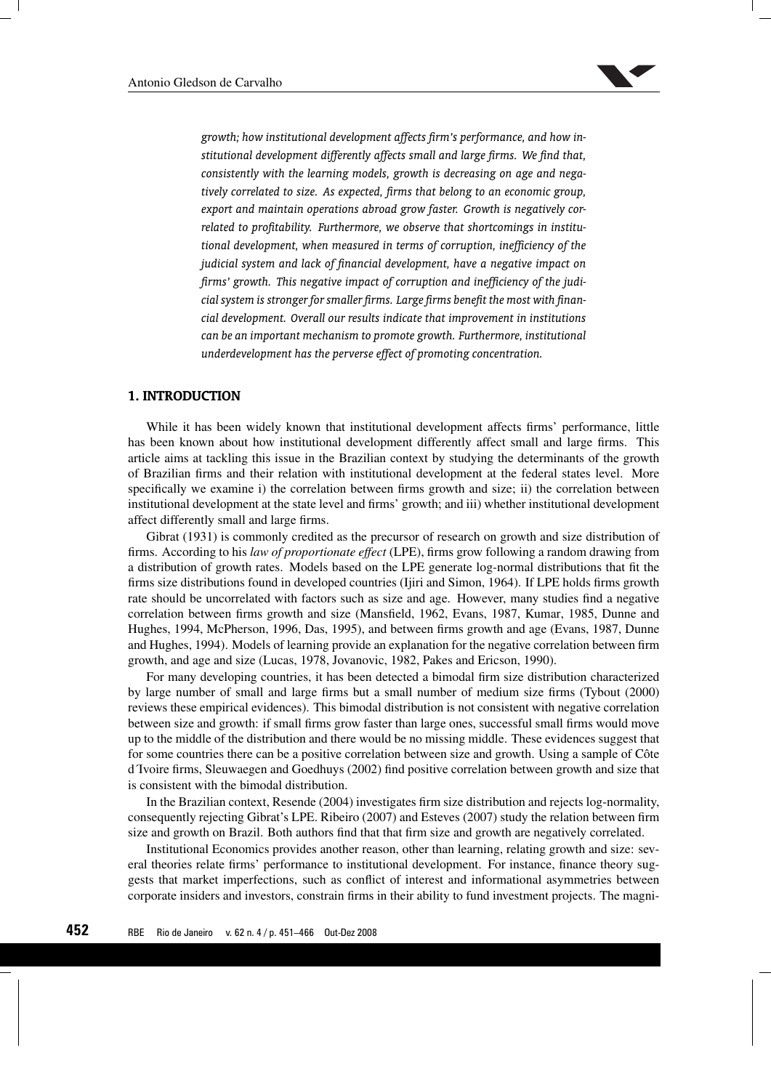

*growth; how institutional development affects firm's performance, and how institutional development differently affects small and large firms. We find that, consistently with the learning models, growth is decreasing on age and negatively correlated to size. As expected, firms that belong to an economic group, export and maintain operations abroad grow faster. Growth is negatively correlated to profitability. Furthermore, we observe that shortcomings in institutional development, when measured in terms of corruption, inefficiency of the judicial system and lack of financial development, have a negative impact on firms' growth. This negative impact of corruption and inefficiency of the judicial system is stronger for smaller firms. Large firms benefit the most with financial development. Overall our results indicate that improvement in institutions can be an important mechanism to promote growth. Furthermore, institutional underdevelopment has the perverse effect of promoting concentration.*

# **1. INTRODUCTION**

While it has been widely known that institutional development affects firms' performance, little has been known about how institutional development differently affect small and large firms. This article aims at tackling this issue in the Brazilian context by studying the determinants of the growth of Brazilian firms and their relation with institutional development at the federal states level. More specifically we examine i) the correlation between firms growth and size; ii) the correlation between institutional development at the state level and firms' growth; and iii) whether institutional development affect differently small and large firms.

Gibrat (1931) is commonly credited as the precursor of research on growth and size distribution of firms. According to his *law of proportionate effect* (LPE), firms grow following a random drawing from a distribution of growth rates. Models based on the LPE generate log-normal distributions that fit the firms size distributions found in developed countries (Ijiri and Simon, 1964). If LPE holds firms growth rate should be uncorrelated with factors such as size and age. However, many studies find a negative correlation between firms growth and size (Mansfield, 1962, Evans, 1987, Kumar, 1985, Dunne and Hughes, 1994, McPherson, 1996, Das, 1995), and between firms growth and age (Evans, 1987, Dunne and Hughes, 1994). Models of learning provide an explanation for the negative correlation between firm growth, and age and size (Lucas, 1978, Jovanovic, 1982, Pakes and Ericson, 1990).

For many developing countries, it has been detected a bimodal firm size distribution characterized by large number of small and large firms but a small number of medium size firms (Tybout (2000) reviews these empirical evidences). This bimodal distribution is not consistent with negative correlation between size and growth: if small firms grow faster than large ones, successful small firms would move up to the middle of the distribution and there would be no missing middle. These evidences suggest that for some countries there can be a positive correlation between size and growth. Using a sample of Côte d´Ivoire firms, Sleuwaegen and Goedhuys (2002) find positive correlation between growth and size that is consistent with the bimodal distribution.

In the Brazilian context, Resende (2004) investigates firm size distribution and rejects log-normality, consequently rejecting Gibrat's LPE. Ribeiro (2007) and Esteves (2007) study the relation between firm size and growth on Brazil. Both authors find that that firm size and growth are negatively correlated.

Institutional Economics provides another reason, other than learning, relating growth and size: several theories relate firms' performance to institutional development. For instance, finance theory suggests that market imperfections, such as conflict of interest and informational asymmetries between corporate insiders and investors, constrain firms in their ability to fund investment projects. The magni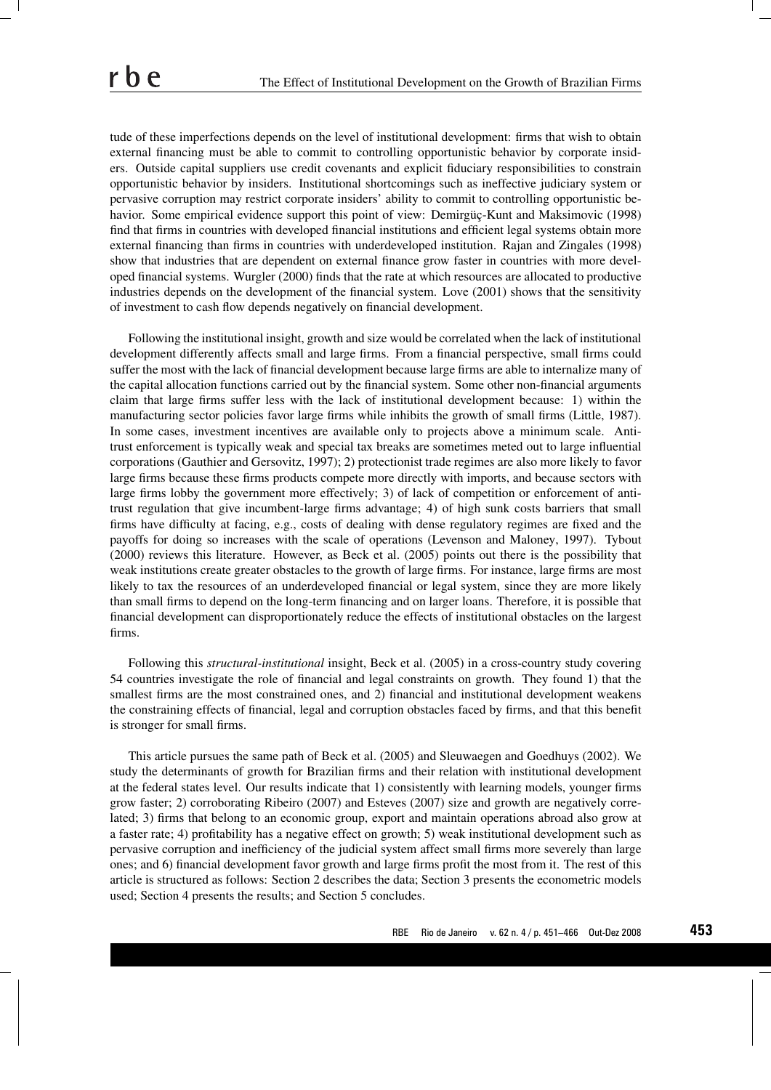tude of these imperfections depends on the level of institutional development: firms that wish to obtain external financing must be able to commit to controlling opportunistic behavior by corporate insiders. Outside capital suppliers use credit covenants and explicit fiduciary responsibilities to constrain opportunistic behavior by insiders. Institutional shortcomings such as ineffective judiciary system or pervasive corruption may restrict corporate insiders' ability to commit to controlling opportunistic behavior. Some empirical evidence support this point of view: Demirgüç-Kunt and Maksimovic (1998) find that firms in countries with developed financial institutions and efficient legal systems obtain more external financing than firms in countries with underdeveloped institution. Rajan and Zingales (1998) show that industries that are dependent on external finance grow faster in countries with more developed financial systems. Wurgler (2000) finds that the rate at which resources are allocated to productive industries depends on the development of the financial system. Love (2001) shows that the sensitivity of investment to cash flow depends negatively on financial development.

Following the institutional insight, growth and size would be correlated when the lack of institutional development differently affects small and large firms. From a financial perspective, small firms could suffer the most with the lack of financial development because large firms are able to internalize many of the capital allocation functions carried out by the financial system. Some other non-financial arguments claim that large firms suffer less with the lack of institutional development because: 1) within the manufacturing sector policies favor large firms while inhibits the growth of small firms (Little, 1987). In some cases, investment incentives are available only to projects above a minimum scale. Antitrust enforcement is typically weak and special tax breaks are sometimes meted out to large influential corporations (Gauthier and Gersovitz, 1997); 2) protectionist trade regimes are also more likely to favor large firms because these firms products compete more directly with imports, and because sectors with large firms lobby the government more effectively; 3) of lack of competition or enforcement of antitrust regulation that give incumbent-large firms advantage; 4) of high sunk costs barriers that small firms have difficulty at facing, e.g., costs of dealing with dense regulatory regimes are fixed and the payoffs for doing so increases with the scale of operations (Levenson and Maloney, 1997). Tybout (2000) reviews this literature. However, as Beck et al. (2005) points out there is the possibility that weak institutions create greater obstacles to the growth of large firms. For instance, large firms are most likely to tax the resources of an underdeveloped financial or legal system, since they are more likely than small firms to depend on the long-term financing and on larger loans. Therefore, it is possible that financial development can disproportionately reduce the effects of institutional obstacles on the largest firms.

Following this *structural-institutional* insight, Beck et al. (2005) in a cross-country study covering 54 countries investigate the role of financial and legal constraints on growth. They found 1) that the smallest firms are the most constrained ones, and 2) financial and institutional development weakens the constraining effects of financial, legal and corruption obstacles faced by firms, and that this benefit is stronger for small firms.

This article pursues the same path of Beck et al. (2005) and Sleuwaegen and Goedhuys (2002). We study the determinants of growth for Brazilian firms and their relation with institutional development at the federal states level. Our results indicate that 1) consistently with learning models, younger firms grow faster; 2) corroborating Ribeiro (2007) and Esteves (2007) size and growth are negatively correlated; 3) firms that belong to an economic group, export and maintain operations abroad also grow at a faster rate; 4) profitability has a negative effect on growth; 5) weak institutional development such as pervasive corruption and inefficiency of the judicial system affect small firms more severely than large ones; and 6) financial development favor growth and large firms profit the most from it. The rest of this article is structured as follows: Section 2 describes the data; Section 3 presents the econometric models used; Section 4 presents the results; and Section 5 concludes.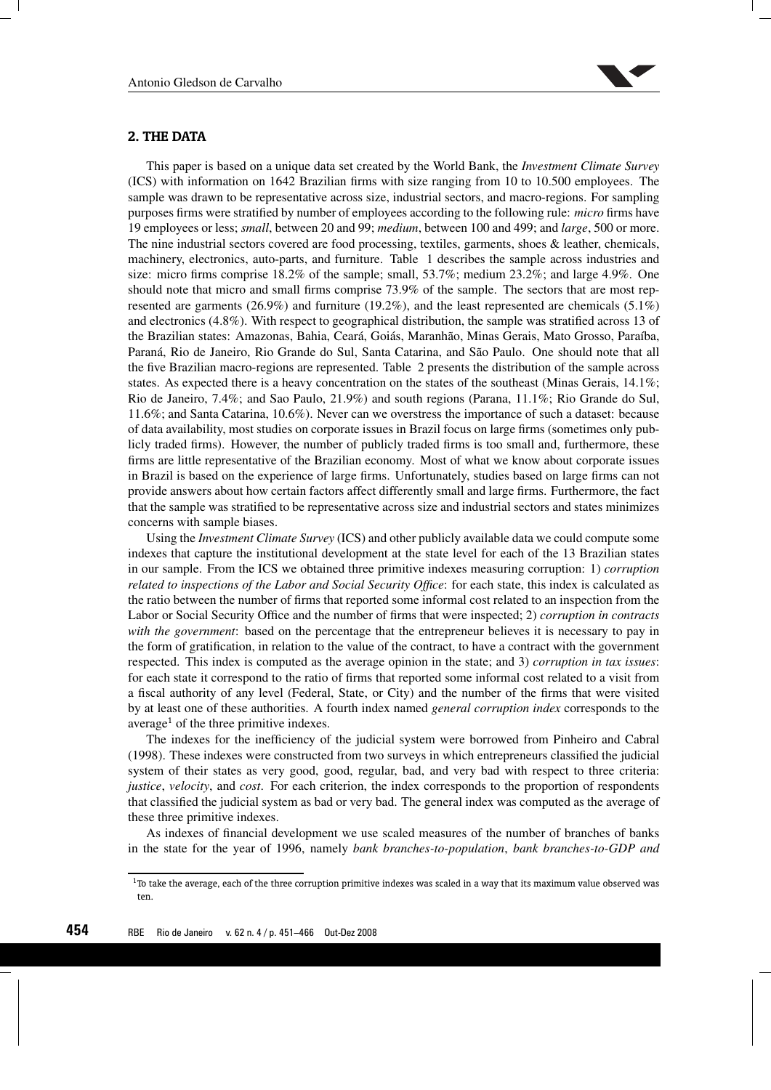

# **2. THE DATA**

This paper is based on a unique data set created by the World Bank, the *Investment Climate Survey* (ICS) with information on 1642 Brazilian firms with size ranging from 10 to 10.500 employees. The sample was drawn to be representative across size, industrial sectors, and macro-regions. For sampling purposes firms were stratified by number of employees according to the following rule: *micro* firms have 19 employees or less; *small*, between 20 and 99; *medium*, between 100 and 499; and *large*, 500 or more. The nine industrial sectors covered are food processing, textiles, garments, shoes & leather, chemicals, machinery, electronics, auto-parts, and furniture. Table 1 describes the sample across industries and size: micro firms comprise 18.2% of the sample; small, 53.7%; medium 23.2%; and large 4.9%. One should note that micro and small firms comprise 73.9% of the sample. The sectors that are most represented are garments (26.9%) and furniture (19.2%), and the least represented are chemicals (5.1%) and electronics (4.8%). With respect to geographical distribution, the sample was stratified across 13 of the Brazilian states: Amazonas, Bahia, Ceará, Goiás, Maranhão, Minas Gerais, Mato Grosso, Paraíba, Paraná, Rio de Janeiro, Rio Grande do Sul, Santa Catarina, and São Paulo. One should note that all the five Brazilian macro-regions are represented. Table 2 presents the distribution of the sample across states. As expected there is a heavy concentration on the states of the southeast (Minas Gerais, 14.1%; Rio de Janeiro, 7.4%; and Sao Paulo, 21.9%) and south regions (Parana, 11.1%; Rio Grande do Sul, 11.6%; and Santa Catarina, 10.6%). Never can we overstress the importance of such a dataset: because of data availability, most studies on corporate issues in Brazil focus on large firms (sometimes only publicly traded firms). However, the number of publicly traded firms is too small and, furthermore, these firms are little representative of the Brazilian economy. Most of what we know about corporate issues in Brazil is based on the experience of large firms. Unfortunately, studies based on large firms can not provide answers about how certain factors affect differently small and large firms. Furthermore, the fact that the sample was stratified to be representative across size and industrial sectors and states minimizes concerns with sample biases.

Using the *Investment Climate Survey* (ICS) and other publicly available data we could compute some indexes that capture the institutional development at the state level for each of the 13 Brazilian states in our sample. From the ICS we obtained three primitive indexes measuring corruption: 1) *corruption related to inspections of the Labor and Social Security Office*: for each state, this index is calculated as the ratio between the number of firms that reported some informal cost related to an inspection from the Labor or Social Security Office and the number of firms that were inspected; 2) *corruption in contracts with the government*: based on the percentage that the entrepreneur believes it is necessary to pay in the form of gratification, in relation to the value of the contract, to have a contract with the government respected. This index is computed as the average opinion in the state; and 3) *corruption in tax issues*: for each state it correspond to the ratio of firms that reported some informal cost related to a visit from a fiscal authority of any level (Federal, State, or City) and the number of the firms that were visited by at least one of these authorities. A fourth index named *general corruption index* corresponds to the average<sup>1</sup> of the three primitive indexes.

The indexes for the inefficiency of the judicial system were borrowed from Pinheiro and Cabral (1998). These indexes were constructed from two surveys in which entrepreneurs classified the judicial system of their states as very good, good, regular, bad, and very bad with respect to three criteria: *justice*, *velocity*, and *cost*. For each criterion, the index corresponds to the proportion of respondents that classified the judicial system as bad or very bad. The general index was computed as the average of these three primitive indexes.

As indexes of financial development we use scaled measures of the number of branches of banks in the state for the year of 1996, namely *bank branches-to-population*, *bank branches-to-GDP and*

 $1$ To take the average, each of the three corruption primitive indexes was scaled in a way that its maximum value observed was ten.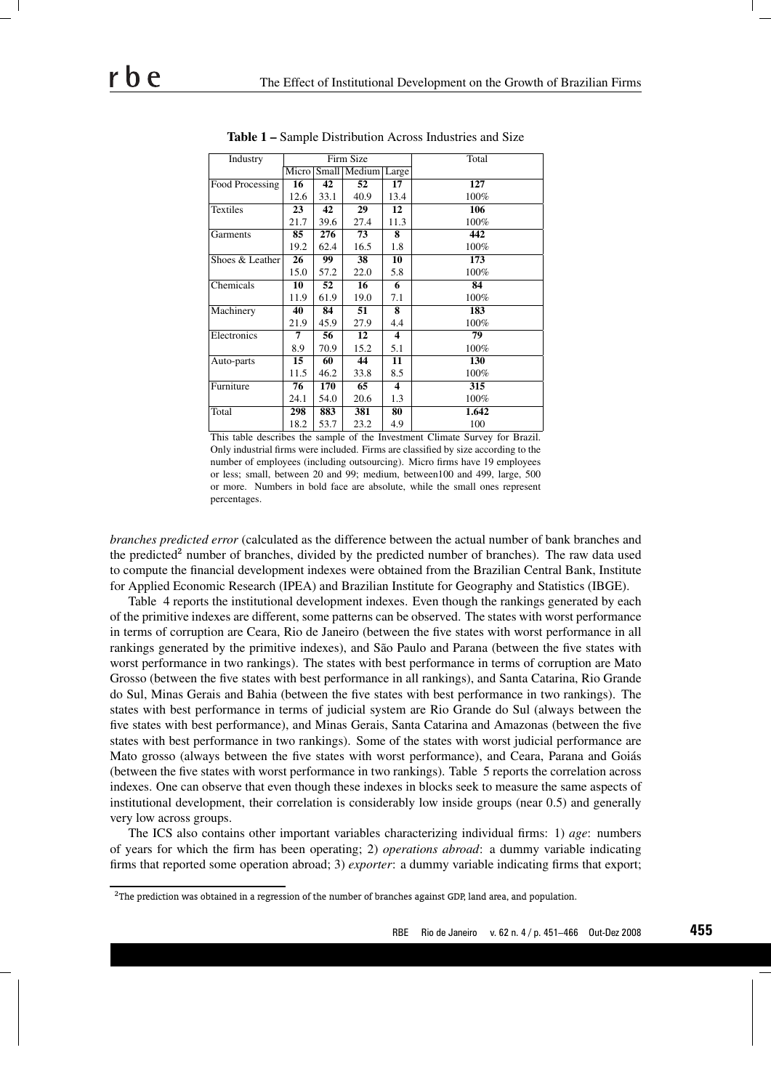| Industry        |       |      | Firm Size          |                     | Total |
|-----------------|-------|------|--------------------|---------------------|-------|
|                 | Micro |      | Small Medium Large |                     |       |
| Food Processing | 16    | 42   | 52                 | 17                  | 127   |
|                 | 12.6  | 33.1 | 40.9               | 13.4                | 100%  |
| <b>Textiles</b> | 23    | 42   | 29                 | 12                  | 106   |
|                 | 21.7  | 39.6 | 27.4               | 11.3                | 100%  |
| Garments        | 85    | 276  | 73                 | 8                   | 442   |
|                 | 19.2  | 62.4 | 16.5               | 1.8                 | 100%  |
| Shoes & Leather | 26    | 99   | 38                 | 10                  | 173   |
|                 | 15.0  | 57.2 | 22.0               | 5.8                 | 100%  |
| Chemicals       | 10    | 52   | 16                 | 6                   | 84    |
|                 | 11.9  | 61.9 | 19.0               | 7.1                 | 100%  |
| Machinery       | 40    | 84   | 51                 | 8                   | 183   |
|                 | 21.9  | 45.9 | 27.9               | 4.4                 | 100%  |
| Electronics     | 7     | 56   | 12                 | 4                   | 79    |
|                 | 8.9   | 70.9 | 15.2               | 5.1                 | 100%  |
| Auto-parts      | 15    | 60   | 44                 | 11                  | 130   |
|                 | 11.5  | 46.2 | 33.8               | 8.5                 | 100%  |
| Furniture       | 76    | 170  | 65                 | $\overline{\bf{4}}$ | 315   |
|                 | 24.1  | 54.0 | 20.6               | 1.3                 | 100%  |
| Total           | 298   | 883  | 381                | 80                  | 1.642 |
|                 | 18.2  | 53.7 | 23.2               | 4.9                 | 100   |

Table 1 – Sample Distribution Across Industries and Size

This table describes the sample of the Investment Climate Survey for Brazil. Only industrial firms were included. Firms are classified by size according to the number of employees (including outsourcing). Micro firms have 19 employees or less; small, between 20 and 99; medium, between100 and 499, large, 500 or more. Numbers in bold face are absolute, while the small ones represent percentages.

*branches predicted error* (calculated as the difference between the actual number of bank branches and the predicted<sup>2</sup> number of branches, divided by the predicted number of branches). The raw data used to compute the financial development indexes were obtained from the Brazilian Central Bank, Institute for Applied Economic Research (IPEA) and Brazilian Institute for Geography and Statistics (IBGE).

Table 4 reports the institutional development indexes. Even though the rankings generated by each of the primitive indexes are different, some patterns can be observed. The states with worst performance in terms of corruption are Ceara, Rio de Janeiro (between the five states with worst performance in all rankings generated by the primitive indexes), and São Paulo and Parana (between the five states with worst performance in two rankings). The states with best performance in terms of corruption are Mato Grosso (between the five states with best performance in all rankings), and Santa Catarina, Rio Grande do Sul, Minas Gerais and Bahia (between the five states with best performance in two rankings). The states with best performance in terms of judicial system are Rio Grande do Sul (always between the five states with best performance), and Minas Gerais, Santa Catarina and Amazonas (between the five states with best performance in two rankings). Some of the states with worst judicial performance are Mato grosso (always between the five states with worst performance), and Ceara, Parana and Goiás (between the five states with worst performance in two rankings). Table 5 reports the correlation across indexes. One can observe that even though these indexes in blocks seek to measure the same aspects of institutional development, their correlation is considerably low inside groups (near 0.5) and generally very low across groups.

The ICS also contains other important variables characterizing individual firms: 1) *age*: numbers of years for which the firm has been operating; 2) *operations abroad*: a dummy variable indicating firms that reported some operation abroad; 3) *exporter*: a dummy variable indicating firms that export;

<sup>&</sup>lt;sup>2</sup>The prediction was obtained in a regression of the number of branches against GDP, land area, and population.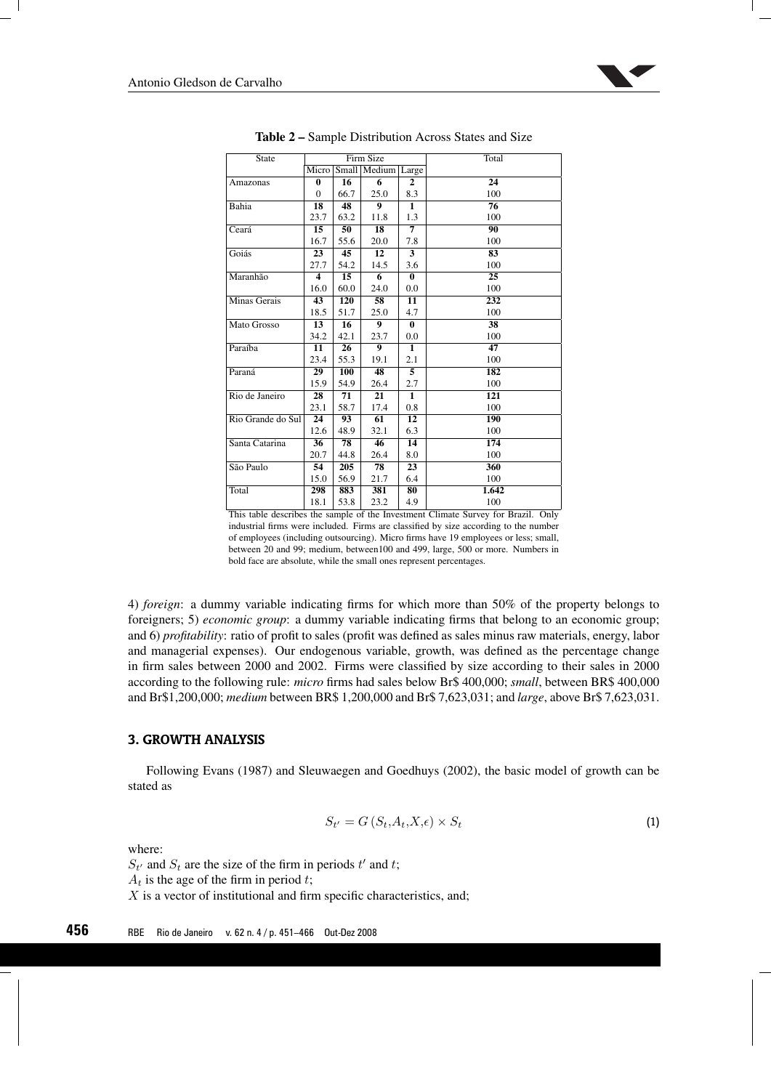

| <b>State</b>      |                         |      | Firm Size              |                   | Total           |
|-------------------|-------------------------|------|------------------------|-------------------|-----------------|
|                   | Micro                   |      | Small   Medium   Large |                   |                 |
| Amazonas          | $\bf{0}$                | 16   | 6                      | $\mathbf{2}$      | 24              |
|                   | $\Omega$                | 66.7 | 25.0                   | 8.3               | 100             |
| Bahia             | 18                      | 48   | $\overline{9}$         | $\mathbf{1}$      | $\overline{76}$ |
|                   | 23.7                    | 63.2 | 11.8                   | 1.3               | 100             |
| Ceará             | 15                      | 50   | $\overline{18}$        | $\overline{\tau}$ | 90              |
|                   | 16.7                    | 55.6 | 20.0                   | 7.8               | 100             |
| Goiás             | 23                      | 45   | 12                     | 3                 | 83              |
|                   | 27.7                    | 54.2 | 14.5                   | 3.6               | 100             |
| Maranhão          | $\overline{\mathbf{4}}$ | 15   | 6                      | $\mathbf{0}$      | 25              |
|                   | 16.0                    | 60.0 | 24.0                   | 0.0               | 100             |
| Minas Gerais      | 43                      | 120  | 58                     | 11                | 232             |
|                   | 18.5                    | 51.7 | 25.0                   | 4.7               | 100             |
| Mato Grosso       | 13                      | 16   | 9                      | $\bf{0}$          | 38              |
|                   | 34.2                    | 42.1 | 23.7                   | 0.0               | 100             |
| Paraíba           | 11                      | 26   | $\boldsymbol{9}$       | $\mathbf{1}$      | 47              |
|                   | 23.4                    | 55.3 | 19.1                   | 2.1               | 100             |
| Paraná            | 29                      | 100  | 48                     | 5                 | 182             |
|                   | 15.9                    | 54.9 | 26.4                   | 2.7               | 100             |
| Rio de Janeiro    | 28                      | 71   | 21                     | $\mathbf{1}$      | 121             |
|                   | 23.1                    | 58.7 | 17.4                   | 0.8               | 100             |
| Rio Grande do Sul | 24                      | 93   | 61                     | 12                | 190             |
|                   | 12.6                    | 48.9 | 32.1                   | 6.3               | 100             |
| Santa Catarina    | 36                      | 78   | 46                     | 14                | 174             |
|                   | 20.7                    | 44.8 | 26.4                   | 8.0               | 100             |
| São Paulo         | 54                      | 205  | $\overline{78}$        | 23                | 360             |
|                   | 15.0                    | 56.9 | 21.7                   | 6.4               | 100             |
| Total             | 298                     | 883  | 381                    | 80                | 1.642           |
|                   | 18.1                    | 53.8 | 23.2                   | 4.9               | 100             |

Table 2 – Sample Distribution Across States and Size

This table describes the sample of the Investment Climate Survey for Brazil. Only industrial firms were included. Firms are classified by size according to the number of employees (including outsourcing). Micro firms have 19 employees or less; small, between 20 and 99; medium, between100 and 499, large, 500 or more. Numbers in bold face are absolute, while the small ones represent percentages.

4) *foreign*: a dummy variable indicating firms for which more than 50% of the property belongs to foreigners; 5) *economic group*: a dummy variable indicating firms that belong to an economic group; and 6) *profitability*: ratio of profit to sales (profit was defined as sales minus raw materials, energy, labor and managerial expenses). Our endogenous variable, growth, was defined as the percentage change in firm sales between 2000 and 2002. Firms were classified by size according to their sales in 2000 according to the following rule: *micro* firms had sales below Br\$ 400,000; *small*, between BR\$ 400,000 and Br\$1,200,000; *medium* between BR\$ 1,200,000 and Br\$ 7,623,031; and *large*, above Br\$ 7,623,031.

## **3. GROWTH ANALYSIS**

Following Evans (1987) and Sleuwaegen and Goedhuys (2002), the basic model of growth can be stated as

$$
S_{t'} = G\left(S_t, A_t, X, \epsilon\right) \times S_t \tag{1}
$$

where:

 $S_t$  and  $S_t$  are the size of the firm in periods t' and t;

 $A_t$  is the age of the firm in period t;

 $X$  is a vector of institutional and firm specific characteristics, and;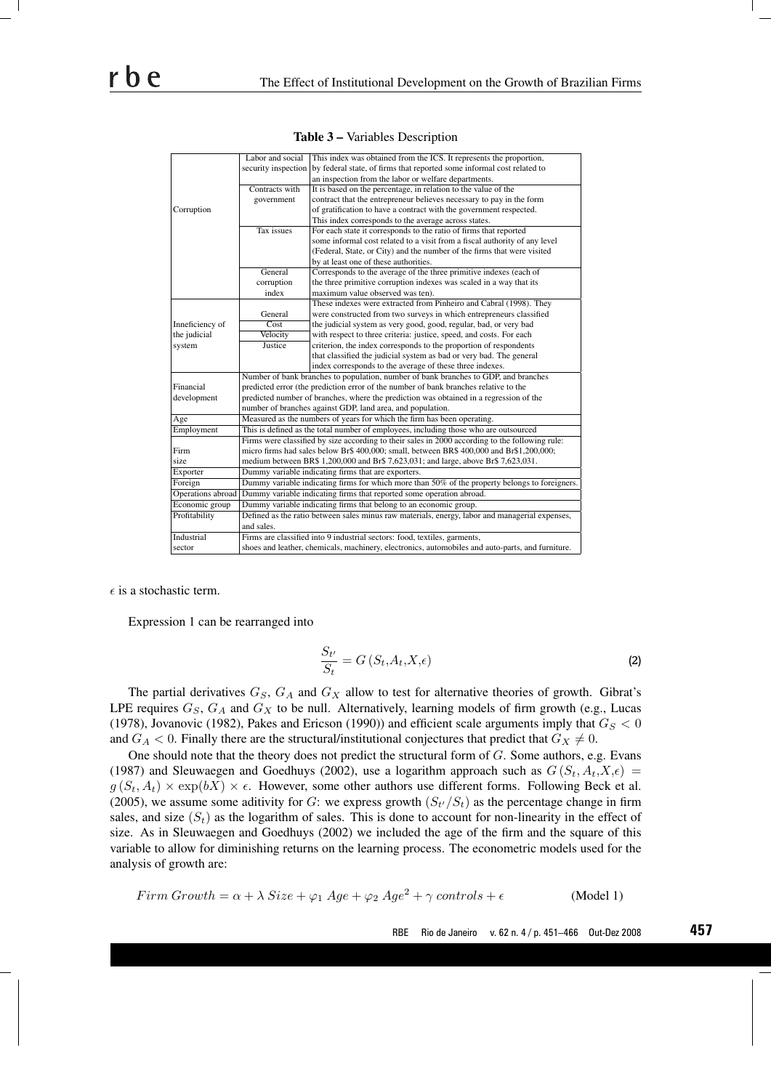|                   | Labor and social                                                                                | This index was obtained from the ICS. It represents the proportion,                                                                                                                                                                                |  |  |  |  |  |
|-------------------|-------------------------------------------------------------------------------------------------|----------------------------------------------------------------------------------------------------------------------------------------------------------------------------------------------------------------------------------------------------|--|--|--|--|--|
|                   | security inspection                                                                             | by federal state, of firms that reported some informal cost related to                                                                                                                                                                             |  |  |  |  |  |
|                   |                                                                                                 | an inspection from the labor or welfare departments.                                                                                                                                                                                               |  |  |  |  |  |
|                   | Contracts with                                                                                  | It is based on the percentage, in relation to the value of the                                                                                                                                                                                     |  |  |  |  |  |
|                   | government                                                                                      | contract that the entrepreneur believes necessary to pay in the form                                                                                                                                                                               |  |  |  |  |  |
| Corruption        |                                                                                                 | of gratification to have a contract with the government respected.                                                                                                                                                                                 |  |  |  |  |  |
|                   |                                                                                                 | This index corresponds to the average across states.                                                                                                                                                                                               |  |  |  |  |  |
|                   | <b>Tax</b> issues                                                                               | For each state it corresponds to the ratio of firms that reported                                                                                                                                                                                  |  |  |  |  |  |
|                   |                                                                                                 | some informal cost related to a visit from a fiscal authority of any level                                                                                                                                                                         |  |  |  |  |  |
|                   |                                                                                                 | (Federal, State, or City) and the number of the firms that were visited                                                                                                                                                                            |  |  |  |  |  |
|                   |                                                                                                 | by at least one of these authorities.                                                                                                                                                                                                              |  |  |  |  |  |
|                   | General                                                                                         | Corresponds to the average of the three primitive indexes (each of                                                                                                                                                                                 |  |  |  |  |  |
|                   | corruption                                                                                      | the three primitive corruption indexes was scaled in a way that its                                                                                                                                                                                |  |  |  |  |  |
|                   | index                                                                                           | maximum value observed was ten).                                                                                                                                                                                                                   |  |  |  |  |  |
|                   |                                                                                                 | These indexes were extracted from Pinheiro and Cabral (1998). They                                                                                                                                                                                 |  |  |  |  |  |
|                   | General                                                                                         | were constructed from two surveys in which entrepreneurs classified                                                                                                                                                                                |  |  |  |  |  |
| Inneficiency of   | Cost                                                                                            | the judicial system as very good, good, regular, bad, or very bad                                                                                                                                                                                  |  |  |  |  |  |
| the judicial      | Velocity                                                                                        | with respect to three criteria: justice, speed, and costs. For each                                                                                                                                                                                |  |  |  |  |  |
| system            | Justice                                                                                         | criterion, the index corresponds to the proportion of respondents                                                                                                                                                                                  |  |  |  |  |  |
|                   |                                                                                                 | that classified the judicial system as bad or very bad. The general                                                                                                                                                                                |  |  |  |  |  |
|                   |                                                                                                 | index corresponds to the average of these three indexes.                                                                                                                                                                                           |  |  |  |  |  |
|                   | Number of bank branches to population, number of bank branches to GDP, and branches             |                                                                                                                                                                                                                                                    |  |  |  |  |  |
| Financial         | predicted error (the prediction error of the number of bank branches relative to the            |                                                                                                                                                                                                                                                    |  |  |  |  |  |
| development       | predicted number of branches, where the prediction was obtained in a regression of the          |                                                                                                                                                                                                                                                    |  |  |  |  |  |
|                   | number of branches against GDP, land area, and population.                                      |                                                                                                                                                                                                                                                    |  |  |  |  |  |
| Age               | Measured as the numbers of years for which the firm has been operating.                         |                                                                                                                                                                                                                                                    |  |  |  |  |  |
| Employment        | This is defined as the total number of employees, including those who are outsourced            |                                                                                                                                                                                                                                                    |  |  |  |  |  |
|                   | Firms were classified by size according to their sales in 2000 according to the following rule: |                                                                                                                                                                                                                                                    |  |  |  |  |  |
| Firm              | micro firms had sales below Br\$ 400,000; small, between BR\$ 400,000 and Br\$1,200,000;        |                                                                                                                                                                                                                                                    |  |  |  |  |  |
| size              | medium between BR\$ 1,200,000 and Br\$ 7,623,031; and large, above Br\$ 7,623,031.              |                                                                                                                                                                                                                                                    |  |  |  |  |  |
| Exporter          | Dummy variable indicating firms that are exporters.                                             |                                                                                                                                                                                                                                                    |  |  |  |  |  |
| Foreign           |                                                                                                 | Dummy variable indicating firms for which more than 50% of the property belongs to foreigners.                                                                                                                                                     |  |  |  |  |  |
| Operations abroad |                                                                                                 | Dummy variable indicating firms that reported some operation abroad.                                                                                                                                                                               |  |  |  |  |  |
| Economic group    |                                                                                                 |                                                                                                                                                                                                                                                    |  |  |  |  |  |
| Profitability     |                                                                                                 | Defined as the ratio between sales minus raw materials, energy, labor and managerial expenses,                                                                                                                                                     |  |  |  |  |  |
|                   | and sales.                                                                                      |                                                                                                                                                                                                                                                    |  |  |  |  |  |
| Industrial        |                                                                                                 |                                                                                                                                                                                                                                                    |  |  |  |  |  |
| sector            |                                                                                                 |                                                                                                                                                                                                                                                    |  |  |  |  |  |
|                   |                                                                                                 | Dummy variable indicating firms that belong to an economic group.<br>Firms are classified into 9 industrial sectors: food, textiles, garments,<br>shoes and leather, chemicals, machinery, electronics, automobiles and auto-parts, and furniture. |  |  |  |  |  |

Table 3 – Variables Description

 $\epsilon$  is a stochastic term.

Expression 1 can be rearranged into

$$
\frac{S_{t'}}{S_t} = G\left(S_t, A_t, X, \epsilon\right)
$$
\n(2)

The partial derivatives  $G_S$ ,  $G_A$  and  $G_X$  allow to test for alternative theories of growth. Gibrat's LPE requires  $G_S$ ,  $G_A$  and  $G_X$  to be null. Alternatively, learning models of firm growth (e.g., Lucas (1978), Jovanovic (1982), Pakes and Ericson (1990)) and efficient scale arguments imply that  $G_S < 0$ and  $G_A < 0$ . Finally there are the structural/institutional conjectures that predict that  $G_X \neq 0$ .

One should note that the theory does not predict the structural form of G. Some authors, e.g. Evans (1987) and Sleuwaegen and Goedhuys (2002), use a logarithm approach such as  $G(S_t, A_t, X, \epsilon)$  =  $g(S_t, A_t) \times \exp(bX) \times \epsilon$ . However, some other authors use different forms. Following Beck et al. (2005), we assume some aditivity for G: we express growth  $(S_{t'}/S_t)$  as the percentage change in firm sales, and size  $(S_t)$  as the logarithm of sales. This is done to account for non-linearity in the effect of size. As in Sleuwaegen and Goedhuys (2002) we included the age of the firm and the square of this variable to allow for diminishing returns on the learning process. The econometric models used for the analysis of growth are:

$$
Firm\,Growth = \alpha + \lambda \, Size + \varphi_1 \, Age + \varphi_2 \, Age^2 + \gamma \, controls + \epsilon \tag{Model 1}
$$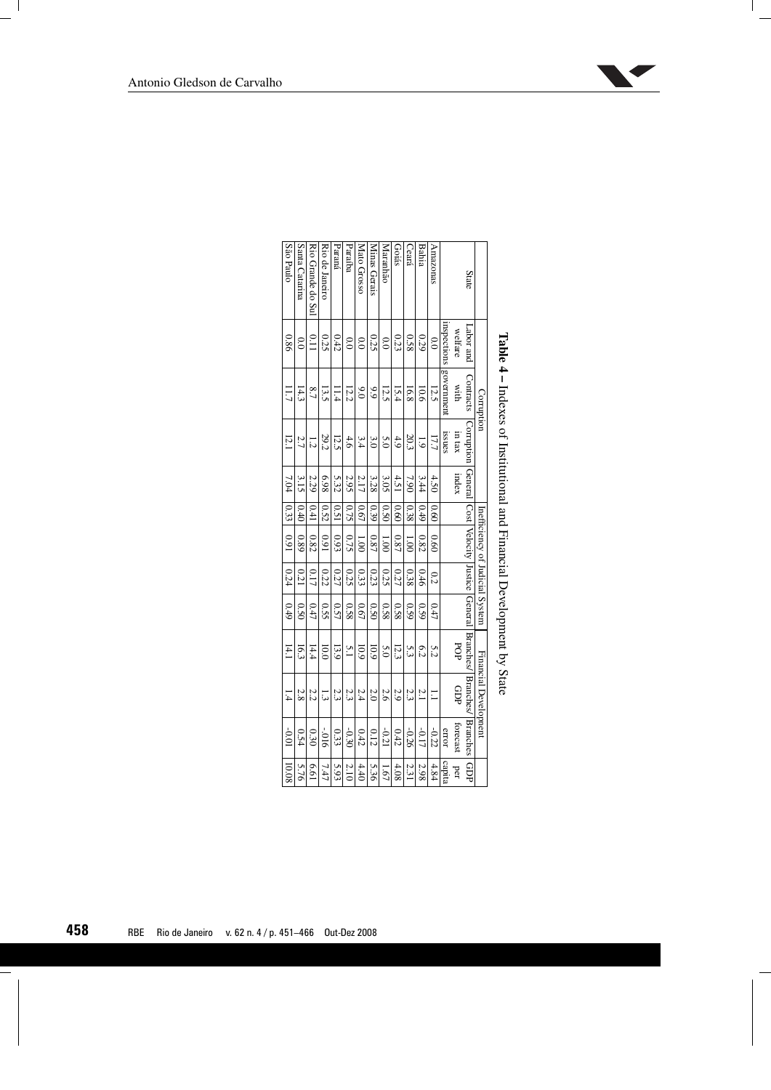|                   |                  | $Table 4 - Index of National and Financial Development by State$ |                                                                                               |       |      |                                 |      |      |                 |                              |          |        |
|-------------------|------------------|------------------------------------------------------------------|-----------------------------------------------------------------------------------------------|-------|------|---------------------------------|------|------|-----------------|------------------------------|----------|--------|
|                   |                  | Corruption                                                       |                                                                                               |       |      | Inefficiency of Judicial System |      |      |                 | <b>Financial Developnent</b> |          |        |
| <b>State</b>      | bus rods.        | Contracts                                                        | Corruption   General   Cost   Velocity   Justice   General   Branches/   Branches/   Branches |       |      |                                 |      |      |                 |                              |          | GDP    |
|                   | welfare          | with                                                             | m tax                                                                                         | index |      |                                 |      |      | POP             | GDP                          | forecast | per    |
|                   |                  | mspections government                                            | <b>ISSUES</b>                                                                                 |       |      |                                 |      |      |                 |                              | error    | capita |
| Amazonas          | $\frac{1}{2}$    | 12.5                                                             | 17.7                                                                                          | 4.50  | 0.60 | 0.60                            | 0.2  | 0.47 | 5.2             | Ξ                            | $-0.22$  | 4.84   |
| Bahia             | 0.29             | 10.6                                                             | $\ddot{\circ}$                                                                                | 3.44  | 0.49 | 0.82                            | 0.46 | 0.59 | 6.2             | 2.1                          | $-0.17$  | 2.98   |
| Ceará             | 0.58             | 16.8                                                             | 20.3                                                                                          | 7.90  | 0.38 | 00 <sup>1</sup>                 | 0.38 | 0.59 | ς3              | 2.3                          | -0.26    | 2.31   |
| Goiás             | 0.23             | 15.4                                                             | 4.9                                                                                           | 4.51  | 0.60 | 0.87                            | 0.27 | 0.58 | 12.3            | 2.9                          | 0.42     | 4.08   |
| Maranhão          | 0.0              | 12.5                                                             | 5.0                                                                                           | 3.05  | 0.50 | 00 <sup>1</sup>                 | 0.25 | 0.58 | 5.0             | 2.6                          | $-0.21$  | 1.67   |
| Minas Gerais      | 0.25             | 6.9                                                              | $\frac{3}{2}$                                                                                 | 3.28  | 0.39 | 0.87                            | 0.23 | 0.50 | 10.9            | 2.0                          | 0.12     | 5.36   |
| Mato Grosso       | $\overline{0.0}$ | $\frac{6}{3}$                                                    | 3.4                                                                                           | 2.17  | 0.67 | 00 <sup>1</sup>                 | 0.33 | 0.67 | 10.9            | 2.4                          | 0.42     | 4.40   |
| Paraíba           | $\frac{1}{2}$    | 12.2                                                             | 4.6                                                                                           | 2.95  | 0.75 | 0.75                            | 0.25 | 0.58 | $\tilde{5}$     | 2.3                          | $-0.30$  | 2.10   |
| Paraná            | 0.42             | 11.4                                                             | 12.5                                                                                          | 5.32  | 0.51 | 0.93                            | 0.27 | 0.57 | 13.9            | 23                           | 0.33     | 5.93   |
| Rio de Janeiro    | 0.25             | 13.5                                                             | 29.2                                                                                          | 6.98  | 0.52 | 0.91                            | 0.22 | 0.55 | $\overline{0}0$ | 13                           | $910 -$  | 7.47   |
| Rio Grande do Sul | $\frac{0.11}{2}$ | $\overline{6.7}$                                                 | $\overline{1.2}$                                                                              | 2.29  | 0.41 | 0.82                            | 0.17 | 0.47 | 14.4            | 2.2                          | 0.30     | 19'9   |
| Santa Catarina    | $\frac{1}{2}$    | 14.3                                                             | 2.7                                                                                           | 3.15  | 0.40 | 0.89                            | 0.21 | 0.50 | 16.3            | 2.8                          | 0.54     | 5.76   |
| São Paulo         | 0.86             | Ξ                                                                | 12.1                                                                                          | 7.04  |      | $ 0.33 $ 0.91                   | 0.24 | 0.49 | 14.1            | 1.4                          | $100-$   | 10.08  |

| <b>Little Computer Computer Computer in the Second Computer Computer Computer Computer Computer Computer in Computer Computer Computer Computer Computer Computer Computer Computer Computer Computer Computer Computer Computer</b> |  |
|--------------------------------------------------------------------------------------------------------------------------------------------------------------------------------------------------------------------------------------|--|
|                                                                                                                                                                                                                                      |  |

**A** 

| Antonio Gledson de Carvalho |  |
|-----------------------------|--|
|-----------------------------|--|

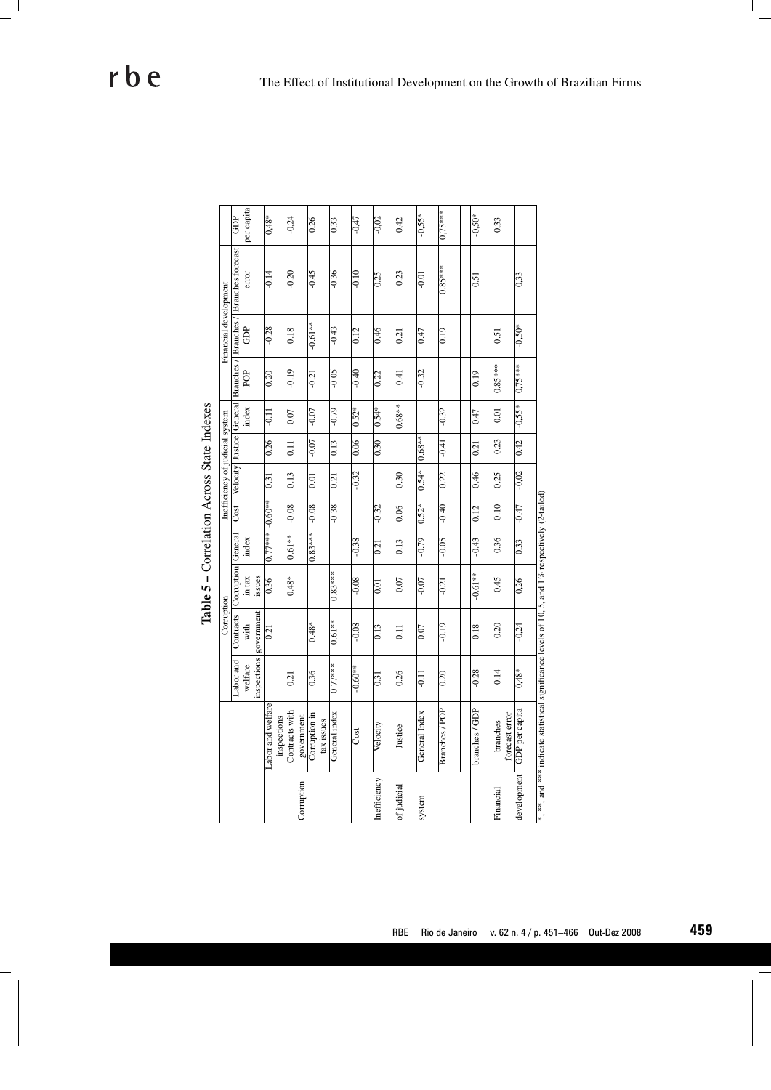| Ē | inancial developm<br>â | Cost   Velocity   Justice   General   Branches /   Branches /   Branches<br>PO <sub>P</sub> | index | nefficiency of judicial system | index | Table 5 - Correlation Across State Indexes<br>Corruption General<br>in tax | cts  |
|---|------------------------|---------------------------------------------------------------------------------------------|-------|--------------------------------|-------|----------------------------------------------------------------------------|------|
|   |                        |                                                                                             |       |                                |       | issues                                                                     | nent |
|   |                        |                                                                                             |       |                                |       |                                                                            |      |
|   |                        |                                                                                             |       |                                |       |                                                                            |      |
|   |                        |                                                                                             |       |                                |       |                                                                            |      |
|   |                        |                                                                                             |       |                                |       |                                                                            |      |
|   |                        |                                                                                             |       |                                |       |                                                                            |      |
|   |                        |                                                                                             |       |                                |       |                                                                            |      |
|   |                        |                                                                                             |       |                                |       |                                                                            |      |
|   |                        |                                                                                             |       |                                |       |                                                                            |      |
|   |                        |                                                                                             |       |                                |       |                                                                            |      |

rbe

|              |                                                                                                  |           | Corruption             |                                  |                       |                | Inefficiency of judicial system |                |          |           | Financial development |                                                                                   |            |
|--------------|--------------------------------------------------------------------------------------------------|-----------|------------------------|----------------------------------|-----------------------|----------------|---------------------------------|----------------|----------|-----------|-----------------------|-----------------------------------------------------------------------------------|------------|
|              |                                                                                                  |           |                        |                                  |                       |                |                                 |                |          |           |                       |                                                                                   |            |
|              |                                                                                                  | Labor and |                        | Contracts   Corruption   General |                       |                |                                 |                |          |           |                       | Cost   Velocity   Justice   General   Branches /   Branches /   Branches forecast | <b>GDP</b> |
|              |                                                                                                  | welfare   | with                   | in tax                           | index                 |                |                                 |                | index    | POP       | GDP                   | error                                                                             | per capita |
|              |                                                                                                  |           | inspections government | issues                           |                       |                |                                 |                |          |           |                       |                                                                                   |            |
|              | Labor and welfare                                                                                |           | $\overline{0.21}$      | $\overline{0.36}$                | $0.77***$   $-0.60**$ |                | 0.31                            | 0.26           | $-0.11$  | 0.20      | $-0.28$               | $-0.14$                                                                           | $0,48*$    |
|              | inspections                                                                                      |           |                        |                                  |                       |                |                                 |                |          |           |                       |                                                                                   |            |
|              | Contracts with                                                                                   | 0.21      |                        | $0.48*$                          | $0.61**$              | $-0.08$        | 0.13                            | $\overline{0}$ | 0.07     | $-0.19$   | 0.18                  | $-0.20$                                                                           | $-0,24$    |
| Corruption   | government                                                                                       |           |                        |                                  |                       |                |                                 |                |          |           |                       |                                                                                   |            |
|              | Corruption in<br>tax issues                                                                      | 0.36      | $0.48*$                |                                  | $0.83***$             | $-0.08$        | 0.01                            | $-0.07$        | -0.07    | $-0.21$   | $-0.61**$             | $-0.45$                                                                           | 0,26       |
|              | General index                                                                                    | $0.77***$ | $0.61**$               | $0.83***$                        |                       | $-0.38$        | 0.21                            | 0.13           | $-0.79$  | $-0.05$   | $-0.43$               | $-0.36$                                                                           | 0,33       |
|              | Cost                                                                                             | $-0.60**$ | $-0.08$                | $-0.08$                          | $-0.38$               |                | $-0.32$                         | 0.06           | $0.52*$  | $-0.40$   | 0.12                  | $-0.10$                                                                           | $-0,47$    |
| Inefficiency | Velocity                                                                                         | 0.31      | 0.13                   | $\overline{0.01}$                | 0.21                  | $-0.32$        |                                 | 0.30           | $0.54*$  | 0.22      | 0.46                  | 0.25                                                                              | $-0,02$    |
| of judicial  | Justice                                                                                          | 0.26      | Ξ                      | $-0.07$                          | $\overline{0.13}$     | 0.06           | 0.30                            |                | $0.68**$ | $-0.41$   | 0.21                  | $-0.23$                                                                           | 0,42       |
| system       | General Index                                                                                    | $-0.11$   | 0.07                   | $-0.07$                          | $-0.79$               | $\sqrt{0.52*}$ | $0.54*$                         | $ 0.68** $     |          | $-0.32$   | 0.47                  | $-0.01$                                                                           | $-0,55*$   |
|              | Branches / POP                                                                                   | 0.20      | $-0.19$                | $-0.21$                          | $-0.05$               | $-0.40$        | 0.22                            | $-0.41$        | $-0.32$  |           | 0.19                  | $0.85***$                                                                         | $0.75***$  |
|              |                                                                                                  |           |                        |                                  |                       |                |                                 |                |          |           |                       |                                                                                   |            |
|              | branches / GDP                                                                                   | $-0.28$   | 0.18                   | $-0.61**$                        | $-0.43$               | 0.12           | 0.46                            | 0.21           | 0.47     | 0.19      |                       | 0.51                                                                              | $-0.50*$   |
| Financial    | branches                                                                                         | $-0.14$   | $-0.20$                | $-0.45$                          | $-0.36$               | $01.0 -$       | 0.25                            | $-0.23$        | $-0.01$  | $0.85***$ | $\overline{0.5}$      |                                                                                   | 0,33       |
|              | forecast error                                                                                   |           |                        |                                  |                       |                |                                 |                |          |           |                       |                                                                                   |            |
| development  | GDP per capita                                                                                   | $0,48*$   | $-0,24$                | $\frac{0.26}{5}$                 | $\overline{0.33}$     | $-0.47$        | $-0,02$                         | 0.42           | $-0,55*$ | $0,75***$ | $-0.50*$              | 0,33                                                                              |            |
|              | *, **, and *** indicate statistical significance levels of 10, 5, and 1% respectively (2-tailed) |           |                        |                                  |                       |                |                                 |                |          |           |                       |                                                                                   |            |

ц  $\overline{\phantom{0}}$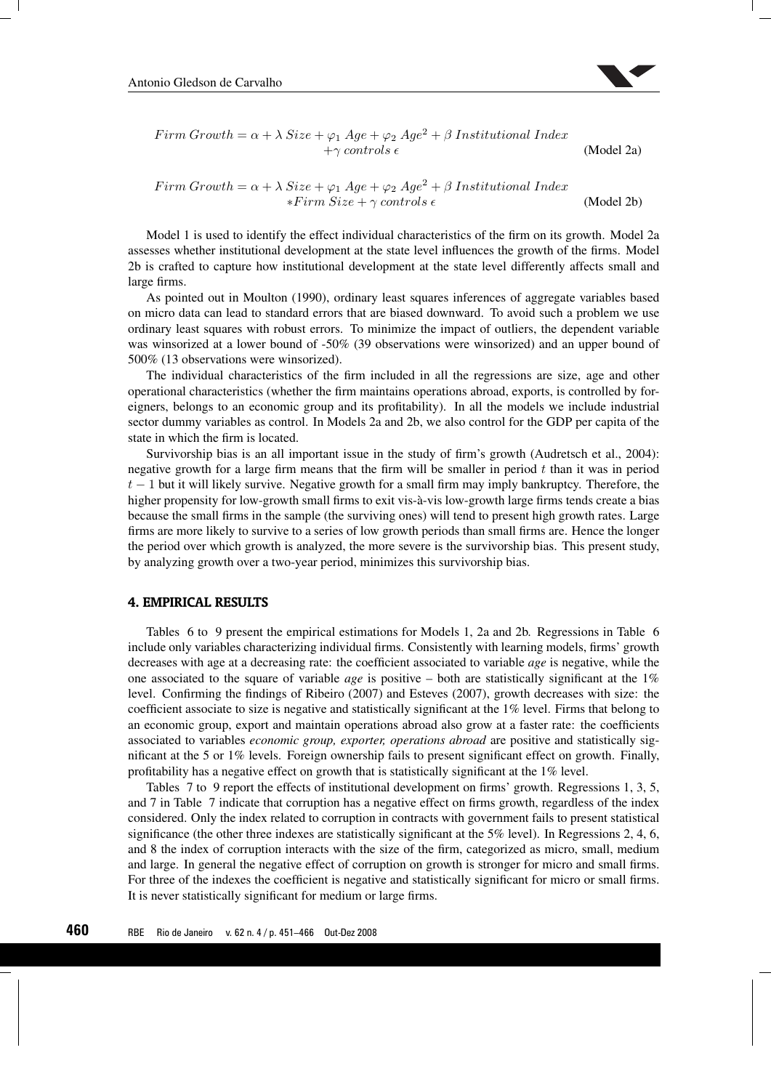

$$
Firm \, Growth = \alpha + \lambda \, Size + \varphi_1 \, Age + \varphi_2 \, Age^2 + \beta \, Institutional \, Index + \gamma \, controls \, \epsilon \tag{Model 2a}
$$

$$
Firm\ Growth = \alpha + \lambda \ Size + \varphi_1 \ Age + \varphi_2 \ Age^2 + \beta \ Institutional \ Index \ast \text{Firm} \ Size + \gamma \ controls \epsilon
$$
\n(Model 2b)

Model 1 is used to identify the effect individual characteristics of the firm on its growth. Model 2a assesses whether institutional development at the state level influences the growth of the firms. Model 2b is crafted to capture how institutional development at the state level differently affects small and large firms.

As pointed out in Moulton (1990), ordinary least squares inferences of aggregate variables based on micro data can lead to standard errors that are biased downward. To avoid such a problem we use ordinary least squares with robust errors. To minimize the impact of outliers, the dependent variable was winsorized at a lower bound of -50% (39 observations were winsorized) and an upper bound of 500% (13 observations were winsorized).

The individual characteristics of the firm included in all the regressions are size, age and other operational characteristics (whether the firm maintains operations abroad, exports, is controlled by foreigners, belongs to an economic group and its profitability). In all the models we include industrial sector dummy variables as control. In Models 2a and 2b, we also control for the GDP per capita of the state in which the firm is located.

Survivorship bias is an all important issue in the study of firm's growth (Audretsch et al., 2004): negative growth for a large firm means that the firm will be smaller in period t than it was in period  $t-1$  but it will likely survive. Negative growth for a small firm may imply bankruptcy. Therefore, the higher propensity for low-growth small firms to exit vis-à-vis low-growth large firms tends create a bias because the small firms in the sample (the surviving ones) will tend to present high growth rates. Large firms are more likely to survive to a series of low growth periods than small firms are. Hence the longer the period over which growth is analyzed, the more severe is the survivorship bias. This present study, by analyzing growth over a two-year period, minimizes this survivorship bias.

## **4. EMPIRICAL RESULTS**

Tables 6 to 9 present the empirical estimations for Models 1, 2a and 2b. Regressions in Table 6 include only variables characterizing individual firms. Consistently with learning models, firms' growth decreases with age at a decreasing rate: the coefficient associated to variable *age* is negative, while the one associated to the square of variable *age* is positive – both are statistically significant at the 1% level. Confirming the findings of Ribeiro (2007) and Esteves (2007), growth decreases with size: the coefficient associate to size is negative and statistically significant at the 1% level. Firms that belong to an economic group, export and maintain operations abroad also grow at a faster rate: the coefficients associated to variables *economic group, exporter, operations abroad* are positive and statistically significant at the 5 or 1% levels. Foreign ownership fails to present significant effect on growth. Finally, profitability has a negative effect on growth that is statistically significant at the 1% level.

Tables 7 to 9 report the effects of institutional development on firms' growth. Regressions 1, 3, 5, and 7 in Table 7 indicate that corruption has a negative effect on firms growth, regardless of the index considered. Only the index related to corruption in contracts with government fails to present statistical significance (the other three indexes are statistically significant at the 5% level). In Regressions 2, 4, 6, and 8 the index of corruption interacts with the size of the firm, categorized as micro, small, medium and large. In general the negative effect of corruption on growth is stronger for micro and small firms. For three of the indexes the coefficient is negative and statistically significant for micro or small firms. It is never statistically significant for medium or large firms.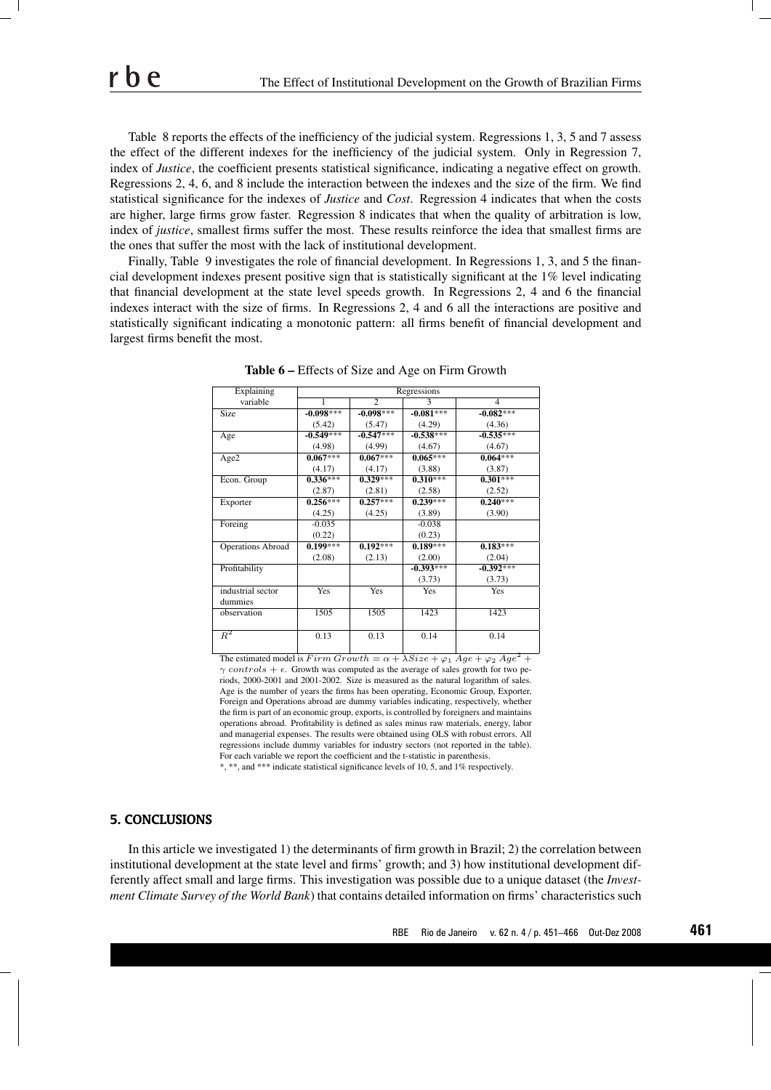Table 8 reports the effects of the inefficiency of the judicial system. Regressions 1, 3, 5 and 7 assess the effect of the different indexes for the inefficiency of the judicial system. Only in Regression 7, index of *Justice*, the coefficient presents statistical significance, indicating a negative effect on growth. Regressions 2, 4, 6, and 8 include the interaction between the indexes and the size of the firm. We find statistical significance for the indexes of *Justice* and *Cost*. Regression 4 indicates that when the costs are higher, large firms grow faster. Regression 8 indicates that when the quality of arbitration is low, index of *justice*, smallest firms suffer the most. These results reinforce the idea that smallest firms are the ones that suffer the most with the lack of institutional development.

Finally, Table 9 investigates the role of financial development. In Regressions 1, 3, and 5 the financial development indexes present positive sign that is statistically significant at the 1% level indicating that financial development at the state level speeds growth. In Regressions 2, 4 and 6 the financial indexes interact with the size of firms. In Regressions 2, 4 and 6 all the interactions are positive and statistically significant indicating a monotonic pattern: all firms benefit of financial development and largest firms benefit the most.

| Explaining               |             |                | Regressions |                |
|--------------------------|-------------|----------------|-------------|----------------|
| variable                 | 1           | $\overline{2}$ | 3           | $\overline{4}$ |
| Size                     | $-0.098***$ | $-0.098***$    | $-0.081***$ | $-0.082***$    |
|                          | (5.42)      | (5.47)         | (4.29)      | (4.36)         |
| Age                      | $-0.549***$ | $-0.547***$    | $-0.538***$ | $-0.535***$    |
|                          | (4.98)      | (4.99)         | (4.67)      | (4.67)         |
| Age2                     | $0.067***$  | $0.067***$     | $0.065***$  | $0.064***$     |
|                          | (4.17)      | (4.17)         | (3.88)      | (3.87)         |
| Econ. Group              | $0.336***$  | $0.329***$     | $0.310***$  | $0.301***$     |
|                          | (2.87)      | (2.81)         | (2.58)      | (2.52)         |
| Exporter                 | $0.256***$  | $0.257***$     | $0.239***$  | $0.240***$     |
|                          | (4.25)      | (4.25)         | (3.89)      | (3.90)         |
| Foreing                  | $-0.035$    |                | $-0.038$    |                |
|                          | (0.22)      |                | (0.23)      |                |
| <b>Operations Abroad</b> | $0.199***$  | $0.192***$     | $0.189***$  | $0.183***$     |
|                          | (2.08)      | (2.13)         | (2.00)      | (2.04)         |
| Profitability            |             |                | $-0.393***$ | $-0.392***$    |
|                          |             |                | (3.73)      | (3.73)         |
| industrial sector        | Yes         | Yes            | <b>Yes</b>  | Yes            |
| dummies                  |             |                |             |                |
| observation              | 1505        | 1505           | 1423        | 1423           |
| $R^2$                    | 0.13        | 0.13           | 0.14        | 0.14           |

Table 6 – Effects of Size and Age on Firm Growth

The estimated model is Firm Growth =  $\alpha + \lambda Size + \varphi_1 Age + \varphi_2 Age^2 +$  $\gamma$  controls +  $\epsilon$ . Growth was computed as the average of sales growth for two periods, 2000-2001 and 2001-2002. Size is measured as the natural logarithm of sales. Age is the number of years the firms has been operating, Economic Group, Exporter, Foreign and Operations abroad are dummy variables indicating, respectively, whether the firm is part of an economic group, exports, is controlled by foreigners and maintains operations abroad. Profitability is defined as sales minus raw materials, energy, labor and managerial expenses. The results were obtained using OLS with robust errors. All regressions include dummy variables for industry sectors (not reported in the table). For each variable we report the coefficient and the t-statistic in parenthesis.

\*, \*\*, and \*\*\* indicate statistical significance levels of 10, 5, and 1% respectively.

#### **5. CONCLUSIONS**

In this article we investigated 1) the determinants of firm growth in Brazil; 2) the correlation between institutional development at the state level and firms' growth; and 3) how institutional development differently affect small and large firms. This investigation was possible due to a unique dataset (the *Investment Climate Survey of the World Bank*) that contains detailed information on firms' characteristics such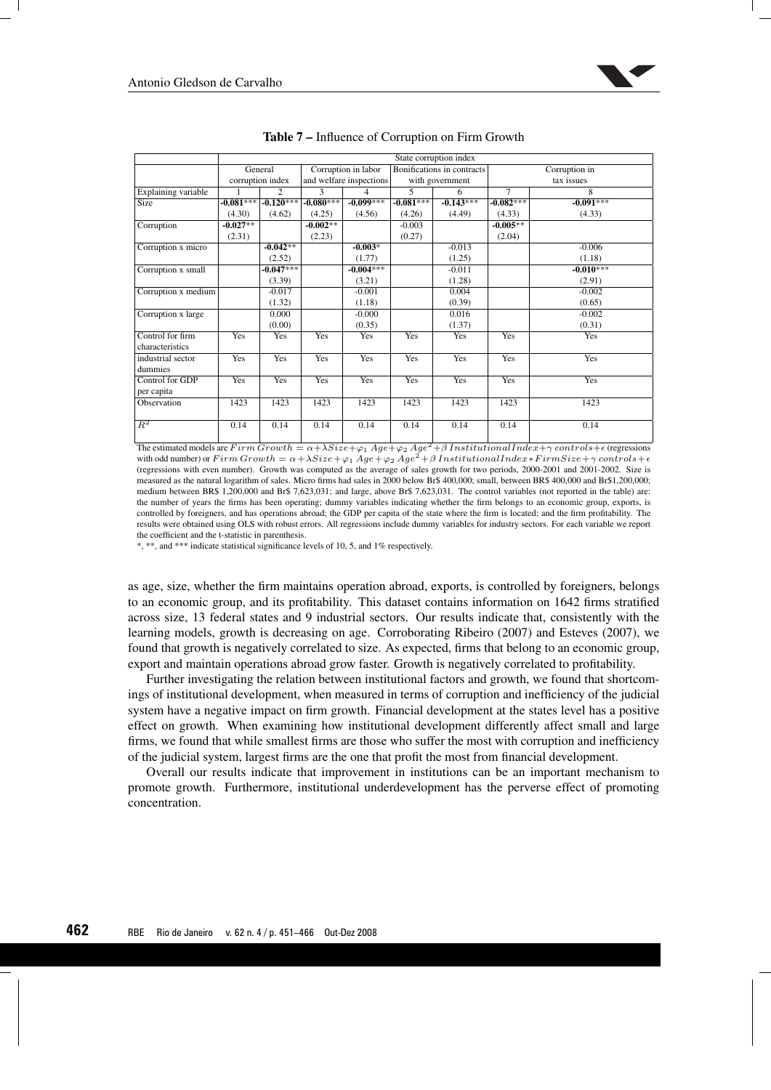

|                     |             |                  |             |                         |             | State corruption index     |             |               |
|---------------------|-------------|------------------|-------------|-------------------------|-------------|----------------------------|-------------|---------------|
|                     |             | General          |             | Corruption in labor     |             | Bonifications in contracts |             | Corruption in |
|                     |             | corruption index |             | and welfare inspections |             | with government            |             | tax issues    |
| Explaining variable |             | $\overline{2}$   | 3           | 4                       | 5.          | 6                          | $\tau$      | 8             |
| <b>Size</b>         | $-0.081***$ | $-0.120***$      | $-0.080***$ | $-0.099***$             | $-0.081***$ | $-0.143***$                | $-0.082***$ | $-0.091***$   |
|                     | (4.30)      | (4.62)           | (4.25)      | (4.56)                  | (4.26)      | (4.49)                     | (4.33)      | (4.33)        |
| Corruption          | $-0.027**$  |                  | $-0.002**$  |                         | $-0.003$    |                            | $-0.005**$  |               |
|                     | (2.31)      |                  | (2.23)      |                         | (0.27)      |                            | (2.04)      |               |
| Corruption x micro  |             | $-0.042**$       |             | $-0.003*$               |             | $-0.013$                   |             | $-0.006$      |
|                     |             | (2.52)           |             | (1.77)                  |             | (1.25)                     |             | (1.18)        |
| Corruption x small  |             | $-0.047***$      |             | $-0.004***$             |             | $-0.011$                   |             | $-0.010***$   |
|                     |             | (3.39)           |             | (3.21)                  |             | (1.28)                     |             | (2.91)        |
| Corruption x medium |             | $-0.017$         |             | $-0.001$                |             | 0.004                      |             | $-0.002$      |
|                     |             | (1.32)           |             | (1.18)                  |             | (0.39)                     |             | (0.65)        |
| Corruption x large  |             | 0.000            |             | $-0.000$                |             | 0.016                      |             | $-0.002$      |
|                     |             | (0.00)           |             | (0.35)                  |             | (1.37)                     |             | (0.31)        |
| Control for firm    | <b>Yes</b>  | Yes              | Yes         | Yes                     | Yes         | Yes                        | Yes         | Yes           |
| characteristics     |             |                  |             |                         |             |                            |             |               |
| industrial sector   | Yes         | Yes              | Yes         | Yes                     | Yes         | Yes                        | Yes         | Yes           |
| dummies             |             |                  |             |                         |             |                            |             |               |
| Control for GDP     | Yes         | Yes              | Yes         | Yes                     | Yes         | Yes                        | Yes         | Yes           |
| per capita          |             |                  |             |                         |             |                            |             |               |
| Observation         | 1423        | 1423             | 1423        | 1423                    | 1423        | 1423                       | 1423        | 1423          |
|                     |             |                  |             |                         |             |                            |             |               |
| $R^2$               | 0.14        | 0.14             | 0.14        | 0.14                    | 0.14        | 0.14                       | 0.14        | 0.14          |
|                     |             |                  |             |                         |             |                            |             |               |

| Table 7 – Influence of Corruption on Firm Growth |
|--------------------------------------------------|
|--------------------------------------------------|

The estimated models are  $F \, \text{irm}$   $G \, \text{r} \, \text{or} \, \text{trh} = \alpha + \lambda S \, \text{iz} \, \text{z} + \varphi_1 \, \text{Ag} \, \text{z} + \varphi_2 \, \text{Ag} \, \text{z}^2 + \beta \, \text{Institutional} \, \text{Index} + \gamma \, \text{contrast} \, \text{e} + \epsilon$  (regressions with odd number) or Firm Growth =  $\alpha + \lambda Size + \varphi_1 Age + \varphi_2 Age^2 + \beta InstitutionalIndex * FirmSize + \gamma controls + \epsilon$ (regressions with even number). Growth was computed as the average of sales growth for two periods, 2000-2001 and 2001-2002. Size is measured as the natural logarithm of sales. Micro firms had sales in 2000 below Br\$ 400,000; small, between BR\$ 400,000 and Br\$1,200,000; medium between BR\$ 1,200,000 and Br\$ 7,623,031; and large, above Br\$ 7,623,031. The control variables (not reported in the table) are: the number of years the firms has been operating; dummy variables indicating whether the firm belongs to an economic group, exports, is controlled by foreigners, and has operations abroad; the GDP per capita of the state where the firm is located; and the firm profitability. The results were obtained using OLS with robust errors. All regressions include dummy variables for industry sectors. For each variable we report the coefficient and the t-statistic in parenthesis.

\*, \*\*, and \*\*\* indicate statistical significance levels of 10, 5, and 1% respectively.

as age, size, whether the firm maintains operation abroad, exports, is controlled by foreigners, belongs to an economic group, and its profitability. This dataset contains information on 1642 firms stratified across size, 13 federal states and 9 industrial sectors. Our results indicate that, consistently with the learning models, growth is decreasing on age. Corroborating Ribeiro (2007) and Esteves (2007), we found that growth is negatively correlated to size. As expected, firms that belong to an economic group, export and maintain operations abroad grow faster. Growth is negatively correlated to profitability.

Further investigating the relation between institutional factors and growth, we found that shortcomings of institutional development, when measured in terms of corruption and inefficiency of the judicial system have a negative impact on firm growth. Financial development at the states level has a positive effect on growth. When examining how institutional development differently affect small and large firms, we found that while smallest firms are those who suffer the most with corruption and inefficiency of the judicial system, largest firms are the one that profit the most from financial development.

Overall our results indicate that improvement in institutions can be an important mechanism to promote growth. Furthermore, institutional underdevelopment has the perverse effect of promoting concentration.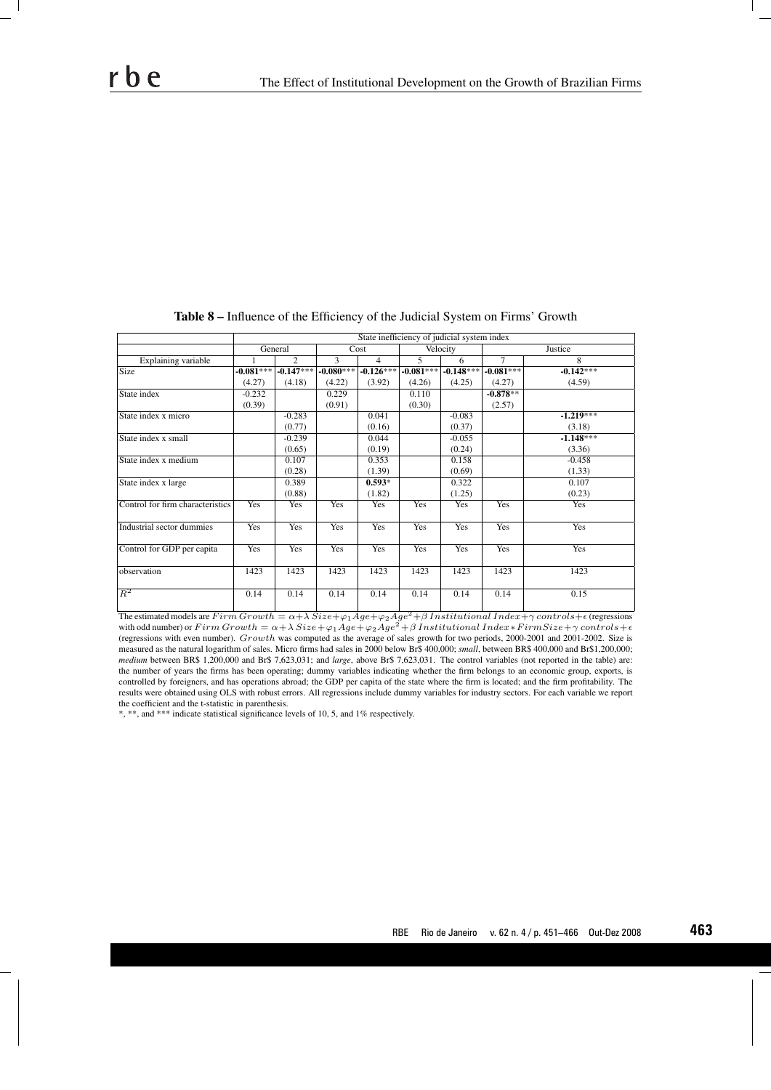|                                  | State inefficiency of judicial system index |                |             |                |                |             |                |             |  |  |  |
|----------------------------------|---------------------------------------------|----------------|-------------|----------------|----------------|-------------|----------------|-------------|--|--|--|
|                                  | General                                     |                | Cost        |                | Velocity       |             | <b>Justice</b> |             |  |  |  |
| Explaining variable              |                                             | $\mathfrak{D}$ | 3           | $\overline{4}$ | $\overline{5}$ | 6           | $\overline{7}$ | 8           |  |  |  |
| <b>Size</b>                      | $-0.081***$                                 | $-0.147***$    | $-0.080***$ | $-0.126***$    | $-0.081***$    | $-0.148***$ | $-0.081***$    | $-0.142***$ |  |  |  |
|                                  | (4.27)                                      | (4.18)         | (4.22)      | (3.92)         | (4.26)         | (4.25)      | (4.27)         | (4.59)      |  |  |  |
| State index                      | $-0.232$                                    |                | 0.229       |                | 0.110          |             | $-0.878**$     |             |  |  |  |
|                                  | (0.39)                                      |                | (0.91)      |                | (0.30)         |             | (2.57)         |             |  |  |  |
| State index x micro              |                                             | $-0.283$       |             | 0.041          |                | $-0.083$    |                | $-1.219***$ |  |  |  |
|                                  |                                             | (0.77)         |             | (0.16)         |                | (0.37)      |                | (3.18)      |  |  |  |
| State index x small              |                                             | $-0.239$       |             | 0.044          |                | $-0.055$    |                | $-1.148***$ |  |  |  |
|                                  |                                             | (0.65)         |             | (0.19)         |                | (0.24)      |                | (3.36)      |  |  |  |
| State index x medium             |                                             | 0.107          |             | 0.353          |                | 0.158       |                | $-0.458$    |  |  |  |
|                                  |                                             | (0.28)         |             | (1.39)         |                | (0.69)      |                | (1.33)      |  |  |  |
| State index x large              |                                             | 0.389          |             | $0.593*$       |                | 0.322       |                | 0.107       |  |  |  |
|                                  |                                             | (0.88)         |             | (1.82)         |                | (1.25)      |                | (0.23)      |  |  |  |
| Control for firm characteristics | Yes                                         | Yes            | Yes         | Yes            | Yes            | Yes         | Yes            | <b>Yes</b>  |  |  |  |
| Industrial sector dummies        | Yes                                         | Yes            | Yes         | Yes            | Yes            | Yes         | Yes            | Yes         |  |  |  |
| Control for GDP per capita       | Yes                                         | Yes            | Yes         | Yes            | Yes            | Yes         | Yes            | Yes         |  |  |  |
| observation                      | 1423                                        | 1423           | 1423        | 1423           | 1423           | 1423        | 1423           | 1423        |  |  |  |
| $R^2$                            | 0.14                                        | 0.14           | 0.14        | 0.14           | 0.14           | 0.14        | 0.14           | 0.15        |  |  |  |

Table 8 – Influence of the Efficiency of the Judicial System on Firms' Growth

The estimated models are  $Firm \, Growth = \alpha + \lambda \, Size + \varphi_1 Age + \varphi_2 Age^2 + \beta \, Institutional \, Index + \gamma \, controls + \epsilon$  (regressions with odd number) or  $Firm\,Growth = \alpha + \lambda\,Size + \varphi_1 Age + \varphi_2 Age^2 + \beta\,Institutional\,Index*FirmSize + \gamma\,controls + \epsilon$ (regressions with even number). Growth was computed as the average of sales growth for two periods, 2000-2001 and 2001-2002. Size is measured as the natural logarithm of sales. Micro firms had sales in 2000 below Br\$ 400,000; *small*, between BR\$ 400,000 and Br\$1,200,000; *medium* between BR\$ 1,200,000 and Br\$ 7,623,031; and *large*, above Br\$ 7,623,031. The control variables (not reported in the table) are: the number of years the firms has been operating; dummy variables indicating whether the firm belongs to an economic group, exports, is controlled by foreigners, and has operations abroad; the GDP per capita of the state where the firm is located; and the firm profitability. The results were obtained using OLS with robust errors. All regressions include dummy variables for industry sectors. For each variable we report the coefficient and the t-statistic in parenthesis.

\*, \*\*, and \*\*\* indicate statistical significance levels of 10, 5, and 1% respectively.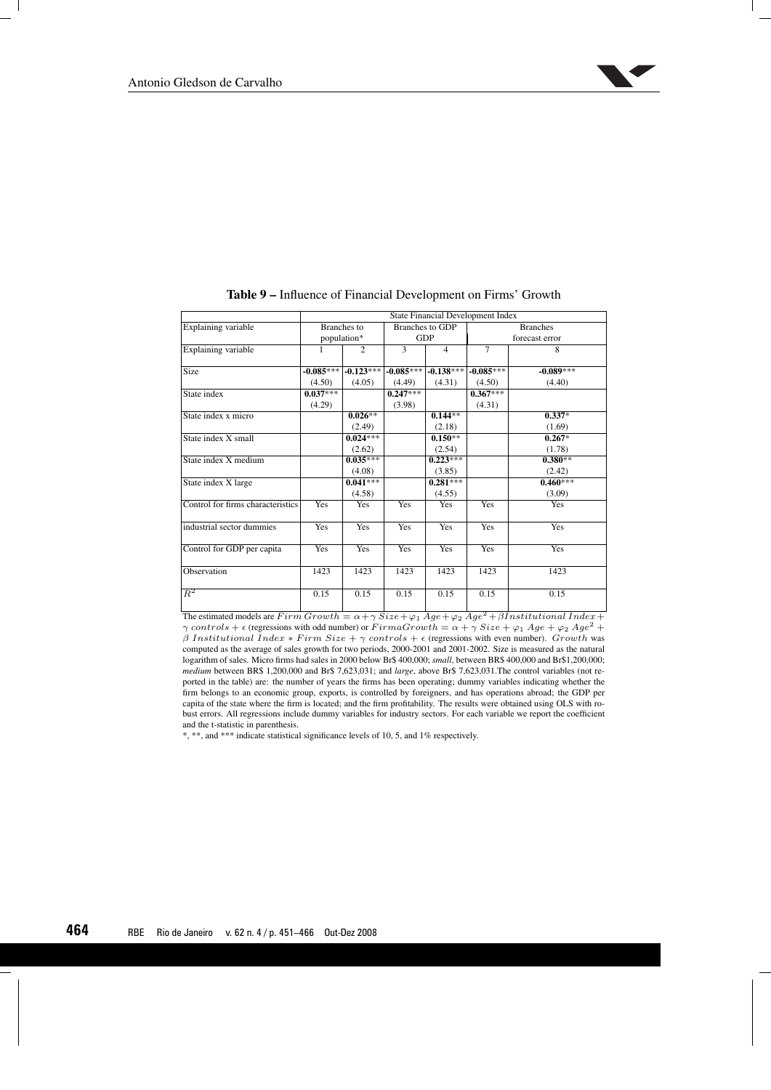

|                                   | <b>State Financial Development Index</b> |                    |              |                        |                 |             |  |  |  |  |
|-----------------------------------|------------------------------------------|--------------------|--------------|------------------------|-----------------|-------------|--|--|--|--|
| Explaining variable               |                                          | <b>Branches</b> to |              | <b>Branches to GDP</b> | <b>Branches</b> |             |  |  |  |  |
|                                   | population*                              |                    |              | GDP                    | forecast error  |             |  |  |  |  |
| Explaining variable               | 1                                        | $\overline{c}$     | $\mathbf{3}$ | $\overline{4}$         | $\tau$          | 8           |  |  |  |  |
| <b>Size</b>                       | $-0.085***$                              | $-0.123***$        | $-0.085***$  | $-0.138***$            | $-0.085***$     | $-0.089***$ |  |  |  |  |
|                                   | (4.50)                                   | (4.05)             | (4.49)       | (4.31)                 | (4.50)          | (4.40)      |  |  |  |  |
| State index                       | $0.037***$                               |                    | $0.247***$   |                        | $0.367***$      |             |  |  |  |  |
|                                   | (4.29)                                   |                    | (3.98)       |                        | (4.31)          |             |  |  |  |  |
| State index x micro               |                                          | $0.026**$          |              | $0.144**$              |                 | $0.337*$    |  |  |  |  |
|                                   |                                          | (2.49)             |              | (2.18)                 |                 | (1.69)      |  |  |  |  |
| State index X small               |                                          | $0.024***$         |              | $0.150**$              |                 | $0.267*$    |  |  |  |  |
|                                   |                                          | (2.62)             |              | (2.54)                 |                 | (1.78)      |  |  |  |  |
| State index X medium              |                                          | $0.035***$         |              | $0.223***$             |                 | $0.380**$   |  |  |  |  |
|                                   |                                          | (4.08)             |              | (3.85)                 |                 | (2.42)      |  |  |  |  |
| State index X large               |                                          | $0.041***$         |              | $0.281***$             |                 | $0.460***$  |  |  |  |  |
|                                   |                                          | (4.58)             |              | (4.55)                 |                 | (3.09)      |  |  |  |  |
| Control for firms characteristics | <b>Yes</b>                               | Yes                | <b>Yes</b>   | Yes                    | <b>Yes</b>      | Yes         |  |  |  |  |
| industrial sector dummies         | <b>Yes</b>                               | <b>Yes</b>         | Yes          | <b>Yes</b>             | Yes             | Yes         |  |  |  |  |
| Control for GDP per capita        | <b>Yes</b>                               | Yes                | <b>Yes</b>   | <b>Yes</b>             | <b>Yes</b>      | Yes         |  |  |  |  |
| Observation                       | 1423                                     | 1423               | 1423         | 1423                   | 1423            | 1423        |  |  |  |  |
| $\overline{R^2}$                  | 0.15                                     | 0.15               | 0.15         | 0.15                   | 0.15            | 0.15        |  |  |  |  |

### Table 9 – Influence of Financial Development on Firms' Growth

The estimated models are  $F \, \text{irr} \, \overline{\text{or}} \, \text{out} \, \overline{\text{or}} \, \overline{\text{or}} \, \overline{\text{or}} \, \overline{\text{or}} \, \overline{\text{or}} \, \overline{\text{or}} \, \overline{\text{or}} \, \overline{\text{or}} \, \overline{\text{or}} \, \overline{\text{or}} \, \overline{\text{or}} \, \overline{\text{or}} \, \overline{\text{or}} \, \overline{\text{or}} \, \overline{\text{or}} \, \overline{\text{or}} \, \overline{\text{or$  $γ controls + ε$  (regressions with odd number) or  $FirmaGrowth = α + γ \ Size + φ_1 \ Age + φ_2 \ Age^2 +$  $β$  Institutional Index \* Firm Size +  $γ$  controls +  $ε$  (regressions with even number). Growth was computed as the average of sales growth for two periods, 2000-2001 and 2001-2002. Size is measured as the natural logarithm of sales. Micro firms had sales in 2000 below Br\$ 400,000; *small*, between BR\$ 400,000 and Br\$1,200,000; *medium* between BR\$ 1,200,000 and Br\$ 7,623,031; and *large*, above Br\$ 7,623,031.The control variables (not reported in the table) are: the number of years the firms has been operating; dummy variables indicating whether the firm belongs to an economic group, exports, is controlled by foreigners, and has operations abroad; the GDP per capita of the state where the firm is located; and the firm profitability. The results were obtained using OLS with robust errors. All regressions include dummy variables for industry sectors. For each variable we report the coefficient and the t-statistic in parenthesis.

\*, \*\*, and \*\*\* indicate statistical significance levels of 10, 5, and 1% respectively.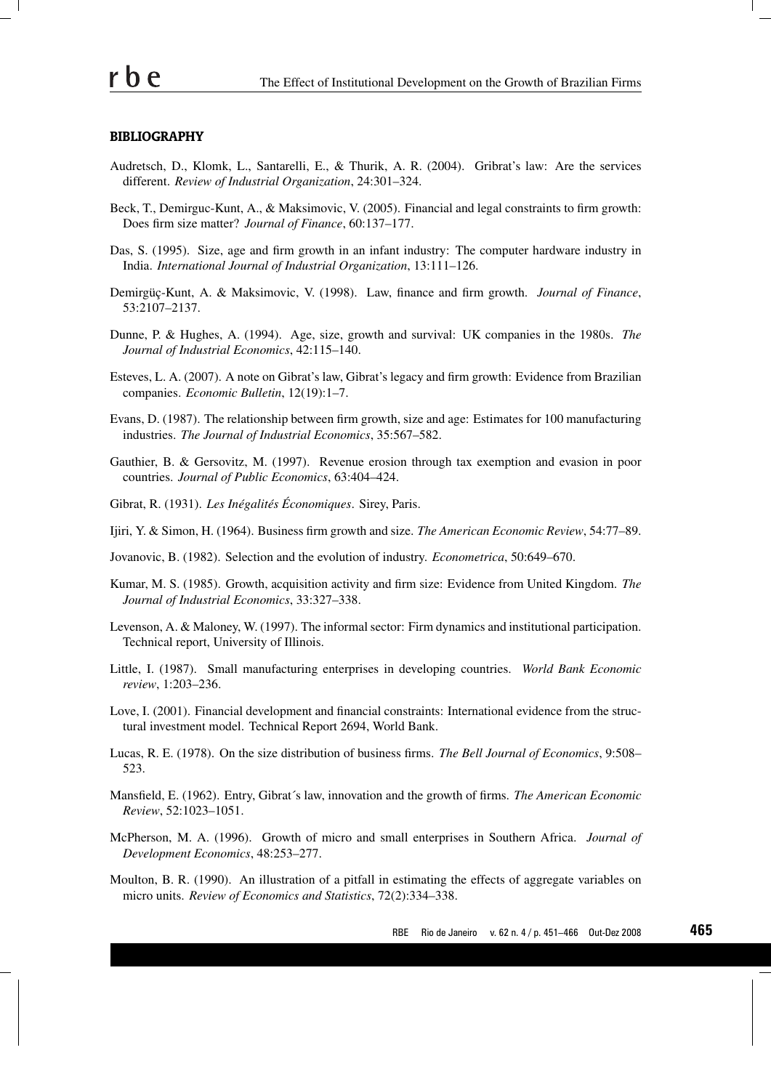### **BIBLIOGRAPHY**

- Audretsch, D., Klomk, L., Santarelli, E., & Thurik, A. R. (2004). Gribrat's law: Are the services different. *Review of Industrial Organization*, 24:301–324.
- Beck, T., Demirguc-Kunt, A., & Maksimovic, V. (2005). Financial and legal constraints to firm growth: Does firm size matter? *Journal of Finance*, 60:137–177.
- Das, S. (1995). Size, age and firm growth in an infant industry: The computer hardware industry in India. *International Journal of Industrial Organization*, 13:111–126.
- Demirgüç-Kunt, A. & Maksimovic, V. (1998). Law, finance and firm growth. *Journal of Finance*, 53:2107–2137.
- Dunne, P. & Hughes, A. (1994). Age, size, growth and survival: UK companies in the 1980s. *The Journal of Industrial Economics*, 42:115–140.
- Esteves, L. A. (2007). A note on Gibrat's law, Gibrat's legacy and firm growth: Evidence from Brazilian companies. *Economic Bulletin*, 12(19):1–7.
- Evans, D. (1987). The relationship between firm growth, size and age: Estimates for 100 manufacturing industries. *The Journal of Industrial Economics*, 35:567–582.
- Gauthier, B. & Gersovitz, M. (1997). Revenue erosion through tax exemption and evasion in poor countries. *Journal of Public Economics*, 63:404–424.
- Gibrat, R. (1931). *Les Inégalités Économiques*. Sirey, Paris.
- Ijiri, Y. & Simon, H. (1964). Business firm growth and size. *The American Economic Review*, 54:77–89.
- Jovanovic, B. (1982). Selection and the evolution of industry. *Econometrica*, 50:649–670.
- Kumar, M. S. (1985). Growth, acquisition activity and firm size: Evidence from United Kingdom. *The Journal of Industrial Economics*, 33:327–338.
- Levenson, A. & Maloney, W. (1997). The informal sector: Firm dynamics and institutional participation. Technical report, University of Illinois.
- Little, I. (1987). Small manufacturing enterprises in developing countries. *World Bank Economic review*, 1:203–236.
- Love, I. (2001). Financial development and financial constraints: International evidence from the structural investment model. Technical Report 2694, World Bank.
- Lucas, R. E. (1978). On the size distribution of business firms. *The Bell Journal of Economics*, 9:508– 523.
- Mansfield, E. (1962). Entry, Gibrat´s law, innovation and the growth of firms. *The American Economic Review*, 52:1023–1051.
- McPherson, M. A. (1996). Growth of micro and small enterprises in Southern Africa. *Journal of Development Economics*, 48:253–277.
- Moulton, B. R. (1990). An illustration of a pitfall in estimating the effects of aggregate variables on micro units. *Review of Economics and Statistics*, 72(2):334–338.